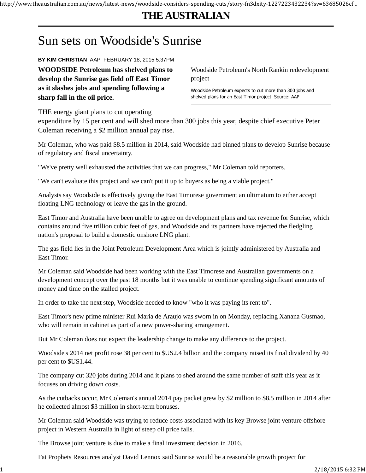http://www.theaustralian.com.au/news/latest-news/woodside-considers-spending-cuts/story-fn3dxity-1227223432234?sv=63685026cf...

## **THE AUSTRALIAN**

## Sun sets on Woodside's Sunrise

**BY KIM CHRISTIAN** AAP FEBRUARY 18, 2015 5:37PM

**WOODSIDE Petroleum has shelved plans to develop the Sunrise gas field off East Timor as it slashes jobs and spending following a sharp fall in the oil price.**

Woodside Petroleum's North Rankin redevelopment project

Woodside Petroleum expects to cut more than 300 jobs and shelved plans for an East Timor project. Source: AAP

THE energy giant plans to cut operating

expenditure by 15 per cent and will shed more than 300 jobs this year, despite chief executive Peter Coleman receiving a \$2 million annual pay rise.

Mr Coleman, who was paid \$8.5 million in 2014, said Woodside had binned plans to develop Sunrise because of regulatory and fiscal uncertainty.

"We've pretty well exhausted the activities that we can progress," Mr Coleman told reporters.

"We can't evaluate this project and we can't put it up to buyers as being a viable project."

Analysts say Woodside is effectively giving the East Timorese government an ultimatum to either accept floating LNG technology or leave the gas in the ground.

East Timor and Australia have been unable to agree on development plans and tax revenue for Sunrise, which contains around five trillion cubic feet of gas, and Woodside and its partners have rejected the fledgling nation's proposal to build a domestic onshore LNG plant.

The gas field lies in the Joint Petroleum Development Area which is jointly administered by Australia and East Timor.

Mr Coleman said Woodside had been working with the East Timorese and Australian governments on a development concept over the past 18 months but it was unable to continue spending significant amounts of money and time on the stalled project.

In order to take the next step, Woodside needed to know "who it was paying its rent to".

East Timor's new prime minister Rui Maria de Araujo was sworn in on Monday, replacing Xanana Gusmao, who will remain in cabinet as part of a new power-sharing arrangement.

But Mr Coleman does not expect the leadership change to make any difference to the project.

Woodside's 2014 net profit rose 38 per cent to \$US2.4 billion and the company raised its final dividend by 40 per cent to \$US1.44.

The company cut 320 jobs during 2014 and it plans to shed around the same number of staff this year as it focuses on driving down costs.

As the cutbacks occur, Mr Coleman's annual 2014 pay packet grew by \$2 million to \$8.5 million in 2014 after he collected almost \$3 million in short-term bonuses.

Mr Coleman said Woodside was trying to reduce costs associated with its key Browse joint venture offshore project in Western Australia in light of steep oil price falls.

The Browse joint venture is due to make a final investment decision in 2016.

Fat Prophets Resources analyst David Lennox said Sunrise would be a reasonable growth project for